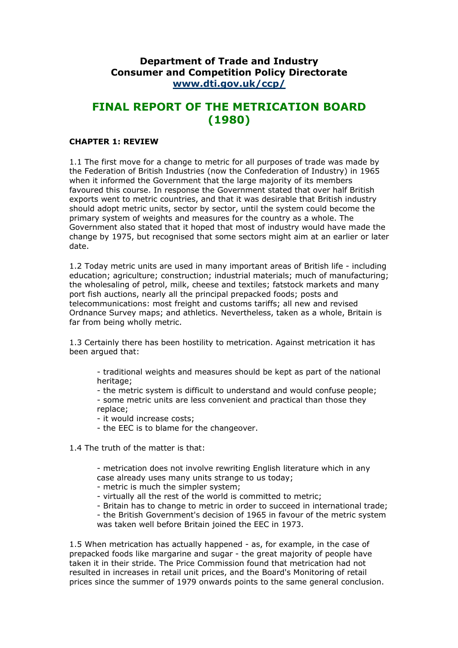## **Department of Trade and Industry Consumer and Competition Policy Directorate [www.dti.gov.uk/ccp/](http://www.dti.gov.uk/ccp/)**

# **FINAL REPORT OF THE METRICATION BOARD (1980)**

## **CHAPTER 1: REVIEW**

1.1 The first move for a change to metric for all purposes of trade was made by the Federation of British Industries (now the Confederation of Industry) in 1965 when it informed the Government that the large majority of its members favoured this course. In response the Government stated that over half British exports went to metric countries, and that it was desirable that British industry should adopt metric units, sector by sector, until the system could become the primary system of weights and measures for the country as a whole. The Government also stated that it hoped that most of industry would have made the change by 1975, but recognised that some sectors might aim at an earlier or later date.

1.2 Today metric units are used in many important areas of British life - including education; agriculture; construction; industrial materials; much of manufacturing; the wholesaling of petrol, milk, cheese and textiles; fatstock markets and many port fish auctions, nearly all the principal prepacked foods; posts and telecommunications: most freight and customs tariffs; all new and revised Ordnance Survey maps; and athletics. Nevertheless, taken as a whole, Britain is far from being wholly metric.

1.3 Certainly there has been hostility to metrication. Against metrication it has been argued that:

- traditional weights and measures should be kept as part of the national heritage;

- the metric system is difficult to understand and would confuse people;

- some metric units are less convenient and practical than those they replace;

- it would increase costs;

- the EEC is to blame for the changeover.

1.4 The truth of the matter is that:

- metrication does not involve rewriting English literature which in any case already uses many units strange to us today;

- metric is much the simpler system;
- virtually all the rest of the world is committed to metric;
- Britain has to change to metric in order to succeed in international trade;

- the British Government's decision of 1965 in favour of the metric system was taken well before Britain joined the EEC in 1973.

1.5 When metrication has actually happened - as, for example, in the case of prepacked foods like margarine and sugar - the great majority of people have taken it in their stride. The Price Commission found that metrication had not resulted in increases in retail unit prices, and the Board's Monitoring of retail prices since the summer of 1979 onwards points to the same general conclusion.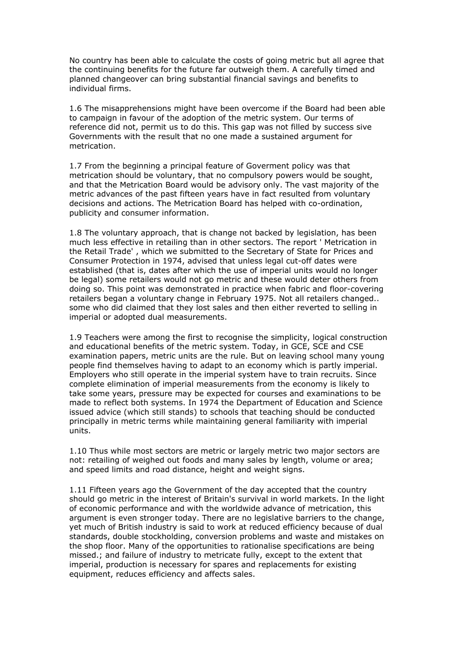No country has been able to calculate the costs of going metric but all agree that the continuing benefits for the future far outweigh them. A carefully timed and planned changeover can bring substantial financial savings and benefits to individual firms.

1.6 The misapprehensions might have been overcome if the Board had been able to campaign in favour of the adoption of the metric system. Our terms of reference did not, permit us to do this. This gap was not filled by success sive Governments with the result that no one made a sustained argument for metrication.

1.7 From the beginning a principal feature of Goverment policy was that metrication should be voluntary, that no compulsory powers would be sought, and that the Metrication Board would be advisory only. The vast majority of the metric advances of the past fifteen years have in fact resulted from voluntary decisions and actions. The Metrication Board has helped with co-ordination, publicity and consumer information.

1.8 The voluntary approach, that is change not backed by legislation, has been much less effective in retailing than in other sectors. The report ' Metrication in the Retail Trade' , which we submitted to the Secretary of State for Prices and Consumer Protection in 1974, advised that unless legal cut-off dates were established (that is, dates after which the use of imperial units would no longer be legal) some retailers would not go metric and these would deter others from doing so. This point was demonstrated in practice when fabric and floor-covering retailers began a voluntary change in February 1975. Not all retailers changed.. some who did claimed that they lost sales and then either reverted to selling in imperial or adopted dual measurements.

1.9 Teachers were among the first to recognise the simplicity, logical construction and educational benefits of the metric system. Today, in GCE, SCE and CSE examination papers, metric units are the rule. But on leaving school many young people find themselves having to adapt to an economy which is partly imperial. Employers who still operate in the imperial system have to train recruits. Since complete elimination of imperial measurements from the economy is likely to take some years, pressure may be expected for courses and examinations to be made to reflect both systems. In 1974 the Department of Education and Science issued advice (which still stands) to schools that teaching should be conducted principally in metric terms while maintaining general familiarity with imperial units.

1.10 Thus while most sectors are metric or largely metric two major sectors are not: retailing of weighed out foods and many sales by length, volume or area; and speed limits and road distance, height and weight signs.

1.11 Fifteen years ago the Government of the day accepted that the country should go metric in the interest of Britain's survival in world markets. In the light of economic performance and with the worldwide advance of metrication, this argument is even stronger today. There are no legislative barriers to the change, yet much of British industry is said to work at reduced efficiency because of dual standards, double stockholding, conversion problems and waste and mistakes on the shop floor. Many of the opportunities to rationalise specifications are being missed.; and failure of industry to metricate fully, except to the extent that imperial, production is necessary for spares and replacements for existing equipment, reduces efficiency and affects sales.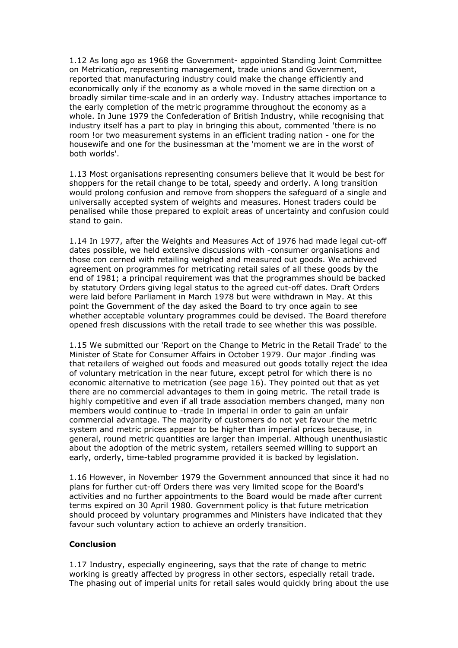1.12 As long ago as 1968 the Government- appointed Standing Joint Committee on Metrication, representing management, trade unions and Government, reported that manufacturing industry could make the change efficiently and economically only if the economy as a whole moved in the same direction on a broadly similar time-scale and in an orderly way. Industry attaches importance to the early completion of the metric programme throughout the economy as a whole. In June 1979 the Confederation of British Industry, while recognising that industry itself has a part to play in bringing this about, commented 'there is no room !or two measurement systems in an efficient trading nation - one for the housewife and one for the businessman at the 'moment we are in the worst of both worlds'.

1.13 Most organisations representing consumers believe that it would be best for shoppers for the retail change to be total, speedy and orderly. A long transition would prolong confusion and remove from shoppers the safeguard of a single and universally accepted system of weights and measures. Honest traders could be penalised while those prepared to exploit areas of uncertainty and confusion could stand to gain.

1.14 In 1977, after the Weights and Measures Act of 1976 had made legal cut-off dates possible, we held extensive discussions with -consumer organisations and those con cerned with retailing weighed and measured out goods. We achieved agreement on programmes for metricating retail sales of all these goods by the end of 1981; a principal requirement was that the programmes should be backed by statutory Orders giving legal status to the agreed cut-off dates. Draft Orders were laid before Parliament in March 1978 but were withdrawn in May. At this point the Government of the day asked the Board to try once again to see whether acceptable voluntary programmes could be devised. The Board therefore opened fresh discussions with the retail trade to see whether this was possible.

1.15 We submitted our 'Report on the Change to Metric in the Retail Trade' to the Minister of State for Consumer Affairs in October 1979. Our major .finding was that retailers of weighed out foods and measured out goods totally reject the idea of voluntary metrication in the near future, except petrol for which there is no economic alternative to metrication (see page 16). They pointed out that as yet there are no commercial advantages to them in going metric. The retail trade is highly competitive and even if all trade association members changed, many non members would continue to -trade In imperial in order to gain an unfair commercial advantage. The majority of customers do not yet favour the metric system and metric prices appear to be higher than imperial prices because, in general, round metric quantities are larger than imperial. Although unenthusiastic about the adoption of the metric system, retailers seemed willing to support an early, orderly, time-tabled programme provided it is backed by legislation.

1.16 However, in November 1979 the Government announced that since it had no plans for further cut-off Orders there was very limited scope for the Board's activities and no further appointments to the Board would be made after current terms expired on 30 April 1980. Government policy is that future metrication should proceed by voluntary programmes and Ministers have indicated that they favour such voluntary action to achieve an orderly transition.

## **Conclusion**

1.17 Industry, especially engineering, says that the rate of change to metric working is greatly affected by progress in other sectors, especially retail trade. The phasing out of imperial units for retail sales would quickly bring about the use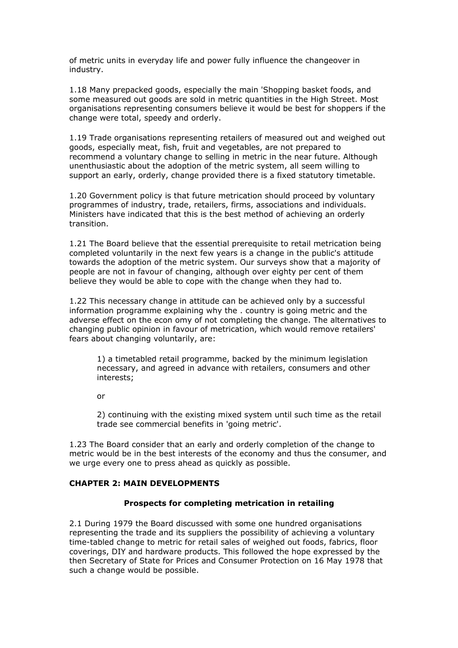of metric units in everyday life and power fully influence the changeover in industry.

1.18 Many prepacked goods, especially the main 'Shopping basket foods, and some measured out goods are sold in metric quantities in the High Street. Most organisations representing consumers believe it would be best for shoppers if the change were total, speedy and orderly.

1.19 Trade organisations representing retailers of measured out and weighed out goods, especially meat, fish, fruit and vegetables, are not prepared to recommend a voluntary change to selling in metric in the near future. Although unenthusiastic about the adoption of the metric system, all seem willing to support an early, orderly, change provided there is a fixed statutory timetable.

1.20 Government policy is that future metrication should proceed by voluntary programmes of industry, trade, retailers, firms, associations and individuals. Ministers have indicated that this is the best method of achieving an orderly transition.

1.21 The Board believe that the essential prerequisite to retail metrication being completed voluntarily in the next few years is a change in the public's attitude towards the adoption of the metric system. Our surveys show that a majority of people are not in favour of changing, although over eighty per cent of them believe they would be able to cope with the change when they had to.

1.22 This necessary change in attitude can be achieved only by a successful information programme explaining why the . country is going metric and the adverse effect on the econ omy of not completing the change. The alternatives to changing public opinion in favour of metrication, which would remove retailers' fears about changing voluntarily, are:

1) a timetabled retail programme, backed by the minimum legislation necessary, and agreed in advance with retailers, consumers and other interests;

or

2) continuing with the existing mixed system until such time as the retail trade see commercial benefits in 'going metric'.

1.23 The Board consider that an early and orderly completion of the change to metric would be in the best interests of the economy and thus the consumer, and we urge every one to press ahead as quickly as possible.

#### **CHAPTER 2: MAIN DEVELOPMENTS**

#### **Prospects for completing metrication in retailing**

2.1 During 1979 the Board discussed with some one hundred organisations representing the trade and its suppliers the possibility of achieving a voluntary time-tabled change to metric for retail sales of weighed out foods, fabrics, floor coverings, DIY and hardware products. This followed the hope expressed by the then Secretary of State for Prices and Consumer Protection on 16 May 1978 that such a change would be possible.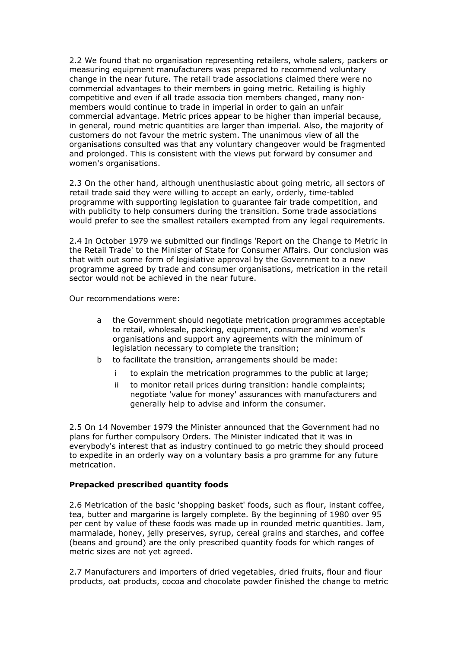2.2 We found that no organisation representing retailers, whole salers, packers or measuring equipment manufacturers was prepared to recommend voluntary change in the near future. The retail trade associations claimed there were no commercial advantages to their members in going metric. Retailing is highly competitive and even if all trade associa tion members changed, many nonmembers would continue to trade in imperial in order to gain an unfair commercial advantage. Metric prices appear to be higher than imperial because, in general, round metric quantities are larger than imperial. Also, the majority of customers do not favour the metric system. The unanimous view of all the organisations consulted was that any voluntary changeover would be fragmented and prolonged. This is consistent with the views put forward by consumer and women's organisations.

2.3 On the other hand, although unenthusiastic about going metric, all sectors of retail trade said they were willing to accept an early, orderly, time-tabled programme with supporting legislation to guarantee fair trade competition, and with publicity to help consumers during the transition. Some trade associations would prefer to see the smallest retailers exempted from any legal requirements.

2.4 In October 1979 we submitted our findings 'Report on the Change to Metric in the Retail Trade' to the Minister of State for Consumer Affairs. Our conclusion was that with out some form of legislative approval by the Government to a new programme agreed by trade and consumer organisations, metrication in the retail sector would not be achieved in the near future.

Our recommendations were:

- a the Government should negotiate metrication programmes acceptable to retail, wholesale, packing, equipment, consumer and women's organisations and support any agreements with the minimum of legislation necessary to complete the transition;
- b to facilitate the transition, arrangements should be made:
	- to explain the metrication programmes to the public at large;
	- ii to monitor retail prices during transition: handle complaints; negotiate 'value for money' assurances with manufacturers and generally help to advise and inform the consumer.

2.5 On 14 November 1979 the Minister announced that the Government had no plans for further compulsory Orders. The Minister indicated that it was in everybody's interest that as industry continued to go metric they should proceed to expedite in an orderly way on a voluntary basis a pro gramme for any future metrication.

## **Prepacked prescribed quantity foods**

2.6 Metrication of the basic 'shopping basket' foods, such as flour, instant coffee, tea, butter and margarine is largely complete. By the beginning of 1980 over 95 per cent by value of these foods was made up in rounded metric quantities. Jam, marmalade, honey, jelly preserves, syrup, cereal grains and starches, and coffee (beans and ground) are the only prescribed quantity foods for which ranges of metric sizes are not yet agreed.

2.7 Manufacturers and importers of dried vegetables, dried fruits, flour and flour products, oat products, cocoa and chocolate powder finished the change to metric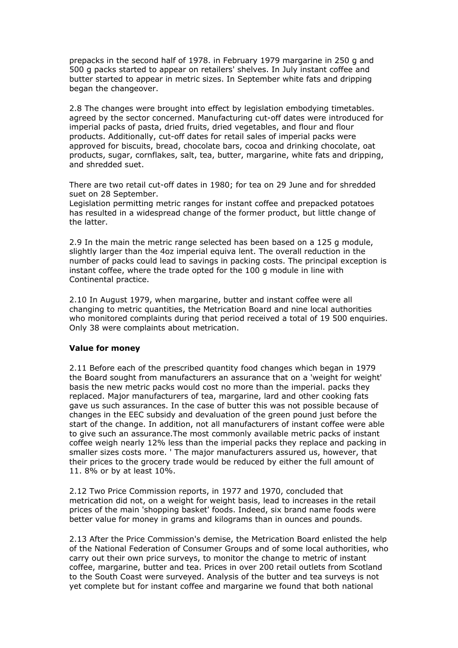prepacks in the second half of 1978. in February 1979 margarine in 250 g and 500 g packs started to appear on retailers' shelves. In July instant coffee and butter started to appear in metric sizes. In September white fats and dripping began the changeover.

2.8 The changes were brought into effect by legislation embodying timetables. agreed by the sector concerned. Manufacturing cut-off dates were introduced for imperial packs of pasta, dried fruits, dried vegetables, and flour and flour products. Additionally, cut-off dates for retail sales of imperial packs were approved for biscuits, bread, chocolate bars, cocoa and drinking chocolate, oat products, sugar, cornflakes, salt, tea, butter, margarine, white fats and dripping, and shredded suet.

There are two retail cut-off dates in 1980; for tea on 29 June and for shredded suet on 28 September.

Legislation permitting metric ranges for instant coffee and prepacked potatoes has resulted in a widespread change of the former product, but little change of the latter.

2.9 In the main the metric range selected has been based on a 125 g module, slightly larger than the 4oz imperial equiva lent. The overall reduction in the number of packs could lead to savings in packing costs. The principal exception is instant coffee, where the trade opted for the 100 g module in line with Continental practice.

2.10 In August 1979, when margarine, butter and instant coffee were all changing to metric quantities, the Metrication Board and nine local authorities who monitored complaints during that period received a total of 19 500 enquiries. Only 38 were complaints about metrication.

#### **Value for money**

2.11 Before each of the prescribed quantity food changes which began in 1979 the Board sought from manufacturers an assurance that on a 'weight for weight' basis the new metric packs would cost no more than the imperial. packs they replaced. Major manufacturers of tea, margarine, lard and other cooking fats gave us such assurances. In the case of butter this was not possible because of changes in the EEC subsidy and devaluation of the green pound just before the start of the change. In addition, not all manufacturers of instant coffee were able to give such an assurance.The most commonly available metric packs of instant coffee weigh nearly 12% less than the imperial packs they replace and packing in smaller sizes costs more. ' The major manufacturers assured us, however, that their prices to the grocery trade would be reduced by either the full amount of 11. 8% or by at least 10%.

2.12 Two Price Commission reports, in 1977 and 1970, concluded that metrication did not, on a weight for weight basis, lead to increases in the retail prices of the main 'shopping basket' foods. Indeed, six brand name foods were better value for money in grams and kilograms than in ounces and pounds.

2.13 After the Price Commission's demise, the Metrication Board enlisted the help of the National Federation of Consumer Groups and of some local authorities, who carry out their own price surveys, to monitor the change to metric of instant coffee, margarine, butter and tea. Prices in over 200 retail outlets from Scotland to the South Coast were surveyed. Analysis of the butter and tea surveys is not yet complete but for instant coffee and margarine we found that both national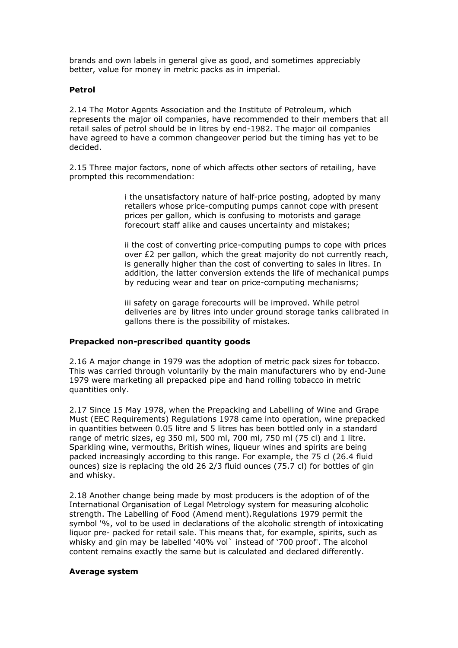brands and own labels in general give as good, and sometimes appreciably better, value for money in metric packs as in imperial.

#### **Petrol**

2.14 The Motor Agents Association and the Institute of Petroleum, which represents the major oil companies, have recommended to their members that all retail sales of petrol should be in litres by end-1982. The major oil companies have agreed to have a common changeover period but the timing has yet to be decided.

2.15 Three major factors, none of which affects other sectors of retailing, have prompted this recommendation:

> i the unsatisfactory nature of half-price posting, adopted by many retailers whose price-computing pumps cannot cope with present prices per gallon, which is confusing to motorists and garage forecourt staff alike and causes uncertainty and mistakes;

ii the cost of converting price-computing pumps to cope with prices over £2 per gallon, which the great majority do not currently reach, is generally higher than the cost of converting to sales in litres. In addition, the latter conversion extends the life of mechanical pumps by reducing wear and tear on price-computing mechanisms;

iii safety on garage forecourts will be improved. While petrol deliveries are by litres into under ground storage tanks calibrated in gallons there is the possibility of mistakes.

#### **Prepacked non-prescribed quantity goods**

2.16 A major change in 1979 was the adoption of metric pack sizes for tobacco. This was carried through voluntarily by the main manufacturers who by end-June 1979 were marketing all prepacked pipe and hand rolling tobacco in metric quantities only.

2.17 Since 15 May 1978, when the Prepacking and Labelling of Wine and Grape Must (EEC Requirements) Regulations 1978 came into operation, wine prepacked in quantities between 0.05 litre and 5 litres has been bottled only in a standard range of metric sizes, eg 350 ml, 500 ml, 700 ml, 750 ml (75 cl) and 1 litre. Sparkling wine, vermouths, British wines, liqueur wines and spirits are being packed increasingly according to this range. For example, the 75 cl (26.4 fluid ounces) size is replacing the old 26 2/3 fluid ounces (75.7 cl) for bottles of gin and whisky.

2.18 Another change being made by most producers is the adoption of of the International Organisation of Legal Metrology system for measuring alcoholic strength. The Labelling of Food (Amend ment).Regulations 1979 permit the symbol '%, vol to be used in declarations of the alcoholic strength of intoxicating liquor pre- packed for retail sale. This means that, for example, spirits, such as whisky and gin may be labelled '40% vol` instead of '700 proof'. The alcohol content remains exactly the same but is calculated and declared differently.

#### **Average system**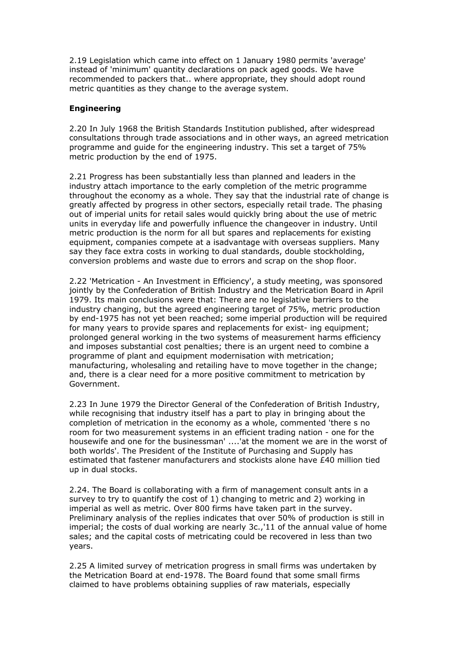2.19 Legislation which came into effect on 1 January 1980 permits 'average' instead of 'minimum' quantity declarations on pack aged goods. We have recommended to packers that.. where appropriate, they should adopt round metric quantities as they change to the average system.

## **Engineering**

2.20 In July 1968 the British Standards Institution published, after widespread consultations through trade associations and in other ways, an agreed metrication programme and guide for the engineering industry. This set a target of 75% metric production by the end of 1975.

2.21 Progress has been substantially less than planned and leaders in the industry attach importance to the early completion of the metric programme throughout the economy as a whole. They say that the industrial rate of change is greatly affected by progress in other sectors, especially retail trade. The phasing out of imperial units for retail sales would quickly bring about the use of metric units in everyday life and powerfully influence the changeover in industry. Until metric production is the norm for all but spares and replacements for existing equipment, companies compete at a isadvantage with overseas suppliers. Many say they face extra costs in working to dual standards, double stockholding, conversion problems and waste due to errors and scrap on the shop floor.

2.22 'Metrication - An Investment in Efficiency', a study meeting, was sponsored jointly by the Confederation of British Industry and the Metrication Board in April 1979. Its main conclusions were that: There are no legislative barriers to the industry changing, but the agreed engineering target of 75%, metric production by end-1975 has not yet been reached; some imperial production will be required for many years to provide spares and replacements for exist- ing equipment; prolonged general working in the two systems of measurement harms efficiency and imposes substantial cost penalties; there is an urgent need to combine a programme of plant and equipment modernisation with metrication; manufacturing, wholesaling and retailing have to move together in the change; and, there is a clear need for a more positive commitment to metrication by Government.

2.23 In June 1979 the Director General of the Confederation of British Industry, while recognising that industry itself has a part to play in bringing about the completion of metrication in the economy as a whole, commented 'there s no room for two measurement systems in an efficient trading nation - one for the housewife and one for the businessman' ....'at the moment we are in the worst of both worlds'. The President of the Institute of Purchasing and Supply has estimated that fastener manufacturers and stockists alone have £40 million tied up in dual stocks.

2.24. The Board is collaborating with a firm of management consult ants in a survey to try to quantify the cost of 1) changing to metric and 2) working in imperial as well as metric. Over 800 firms have taken part in the survey. Preliminary analysis of the replies indicates that over 50% of production is still in imperial; the costs of dual working are nearly 3c.,'11 of the annual value of home sales; and the capital costs of metricating could be recovered in less than two years.

2.25 A limited survey of metrication progress in small firms was undertaken by the Metrication Board at end-1978. The Board found that some small firms claimed to have problems obtaining supplies of raw materials, especially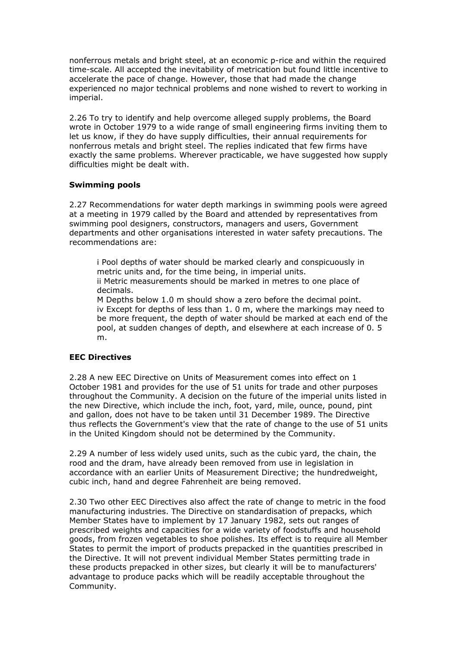nonferrous metals and bright steel, at an economic p-rice and within the required time-scale. All accepted the inevitability of metrication but found little incentive to accelerate the pace of change. However, those that had made the change experienced no major technical problems and none wished to revert to working in imperial.

2.26 To try to identify and help overcome alleged supply problems, the Board wrote in October 1979 to a wide range of small engineering firms inviting them to let us know, if they do have supply difficulties, their annual requirements for nonferrous metals and bright steel. The replies indicated that few firms have exactly the same problems. Wherever practicable, we have suggested how supply difficulties might be dealt with.

## **Swimming pools**

2.27 Recommendations for water depth markings in swimming pools were agreed at a meeting in 1979 called by the Board and attended by representatives from swimming pool designers, constructors, managers and users, Government departments and other organisations interested in water safety precautions. The recommendations are:

i Pool depths of water should be marked clearly and conspicuously in metric units and, for the time being, in imperial units. ii Metric measurements should be marked in metres to one place of decimals.

M Depths below 1.0 m should show a zero before the decimal point. iv Except for depths of less than 1. 0 m, where the markings may need to be more frequent, the depth of water should be marked at each end of the pool, at sudden changes of depth, and elsewhere at each increase of 0. 5 m.

## **EEC Directives**

2.28 A new EEC Directive on Units of Measurement comes into effect on 1 October 1981 and provides for the use of 51 units for trade and other purposes throughout the Community. A decision on the future of the imperial units listed in the new Directive, which include the inch, foot, yard, mile, ounce, pound, pint and gallon, does not have to be taken until 31 December 1989. The Directive thus reflects the Government's view that the rate of change to the use of 51 units in the United Kingdom should not be determined by the Community.

2.29 A number of less widely used units, such as the cubic yard, the chain, the rood and the dram, have already been removed from use in legislation in accordance with an earlier Units of Measurement Directive; the hundredweight, cubic inch, hand and degree Fahrenheit are being removed.

2.30 Two other EEC Directives also affect the rate of change to metric in the food manufacturing industries. The Directive on standardisation of prepacks, which Member States have to implement by 17 January 1982, sets out ranges of prescribed weights and capacities for a wide variety of foodstuffs and household goods, from frozen vegetables to shoe polishes. Its effect is to require all Member States to permit the import of products prepacked in the quantities prescribed in the Directive. It will not prevent individual Member States permitting trade in these products prepacked in other sizes, but clearly it will be to manufacturers' advantage to produce packs which will be readily acceptable throughout the Community.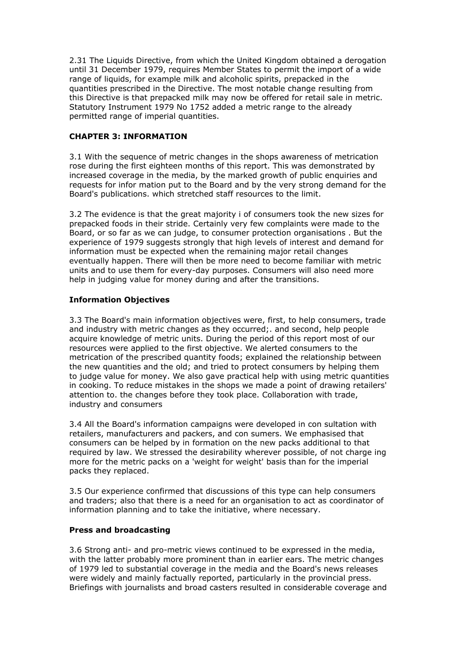2.31 The Liquids Directive, from which the United Kingdom obtained a derogation until 31 December 1979, requires Member States to permit the import of a wide range of liquids, for example milk and alcoholic spirits, prepacked in the quantities prescribed in the Directive. The most notable change resulting from this Directive is that prepacked milk may now be offered for retail sale in metric. Statutory Instrument 1979 No 1752 added a metric range to the already permitted range of imperial quantities.

## **CHAPTER 3: INFORMATION**

3.1 With the sequence of metric changes in the shops awareness of metrication rose during the first eighteen months of this report. This was demonstrated by increased coverage in the media, by the marked growth of public enquiries and requests for infor mation put to the Board and by the very strong demand for the Board's publications. which stretched staff resources to the limit.

3.2 The evidence is that the great majority i of consumers took the new sizes for prepacked foods in their stride. Certainly very few complaints were made to the Board, or so far as we can judge, to consumer protection organisations . But the experience of 1979 suggests strongly that high levels of interest and demand for information must be expected when the remaining major retail changes eventually happen. There will then be more need to become familiar with metric units and to use them for every-day purposes. Consumers will also need more help in judging value for money during and after the transitions.

## **Information Objectives**

3.3 The Board's main information objectives were, first, to help consumers, trade and industry with metric changes as they occurred;. and second, help people acquire knowledge of metric units. During the period of this report most of our resources were applied to the first objective. We alerted consumers to the metrication of the prescribed quantity foods; explained the relationship between the new quantities and the old; and tried to protect consumers by helping them to judge value for money. We also gave practical help with using metric quantities in cooking. To reduce mistakes in the shops we made a point of drawing retailers' attention to. the changes before they took place. Collaboration with trade, industry and consumers

3.4 All the Board's information campaigns were developed in con sultation with retailers, manufacturers and packers, and con sumers. We emphasised that consumers can be helped by in formation on the new packs additional to that required by law. We stressed the desirability wherever possible, of not charge ing more for the metric packs on a 'weight for weight' basis than for the imperial packs they replaced.

3.5 Our experience confirmed that discussions of this type can help consumers and traders; also that there is a need for an organisation to act as coordinator of information planning and to take the initiative, where necessary.

#### **Press and broadcasting**

3.6 Strong anti- and pro-metric views continued to be expressed in the media, with the latter probably more prominent than in earlier ears. The metric changes of 1979 led to substantial coverage in the media and the Board's news releases were widely and mainly factually reported, particularly in the provincial press. Briefings with journalists and broad casters resulted in considerable coverage and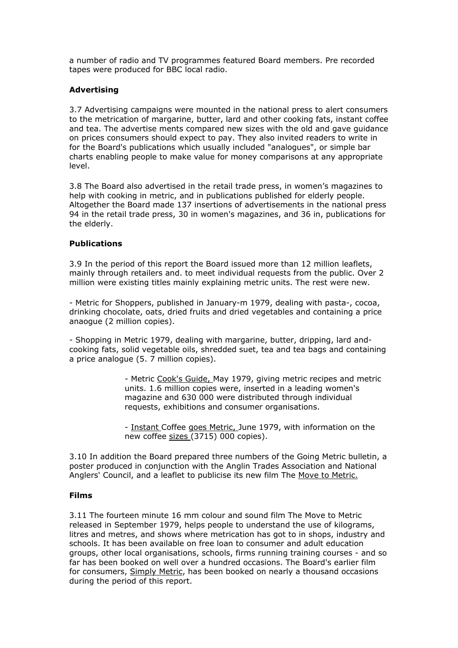a number of radio and TV programmes featured Board members. Pre recorded tapes were produced for BBC local radio.

## **Advertising**

3.7 Advertising campaigns were mounted in the national press to alert consumers to the metrication of margarine, butter, lard and other cooking fats, instant coffee and tea. The advertise ments compared new sizes with the old and gave guidance on prices consumers should expect to pay. They also invited readers to write in for the Board's publications which usually included "analogues", or simple bar charts enabling people to make value for money comparisons at any appropriate level.

3.8 The Board also advertised in the retail trade press, in women's magazines to help with cooking in metric, and in publications published for elderly people. Altogether the Board made 137 insertions of advertisements in the national press 94 in the retail trade press, 30 in women's magazines, and 36 in, publications for the elderly.

#### **Publications**

3.9 In the period of this report the Board issued more than 12 million leaflets, mainly through retailers and. to meet individual requests from the public. Over 2 million were existing titles mainly explaining metric units. The rest were new.

- Metric for Shoppers, published in January-m 1979, dealing with pasta-, cocoa, drinking chocolate, oats, dried fruits and dried vegetables and containing a price anaogue (2 million copies).

- Shopping in Metric 1979, dealing with margarine, butter, dripping, lard andcooking fats, solid vegetable oils, shredded suet, tea and tea bags and containing a price analogue (5. 7 million copies).

> - Metric Cook's Guide, May 1979, giving metric recipes and metric units. 1.6 million copies were, inserted in a leading women's magazine and 630 000 were distributed through individual requests, exhibitions and consumer organisations.

- Instant Coffee goes Metric, June 1979, with information on the new coffee sizes (3715) 000 copies).

3.10 In addition the Board prepared three numbers of the Going Metric bulletin, a poster produced in conjunction with the Anglin Trades Association and National Anglers' Council, and a leaflet to publicise its new film The Move to Metric.

#### **Films**

3.11 The fourteen minute 16 mm colour and sound film The Move to Metric released in September 1979, helps people to understand the use of kilograms, litres and metres, and shows where metrication has got to in shops, industry and schools. It has been available on free loan to consumer and adult education groups, other local organisations, schools, firms running training courses - and so far has been booked on well over a hundred occasions. The Board's earlier film for consumers, Simply Metric, has been booked on nearly a thousand occasions during the period of this report.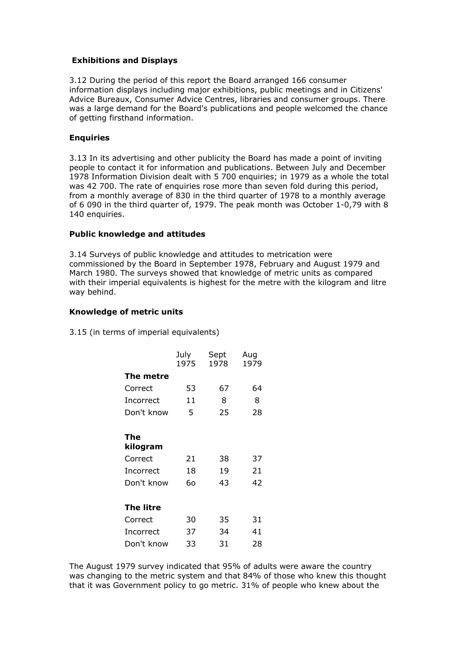## **Exhibitions and Displays**

3.12 During the period of this report the Board arranged 166 consumer information displays including major exhibitions, public meetings and in Citizens' Advice Bureaux, Consumer Advice Centres, libraries and consumer groups. There was a large demand for the Board's publications and people welcomed the chance of getting firsthand information.

#### **Enquiries**

3.13 In its advertising and other publicity the Board has made a point of inviting people to contact it for information and publications. Between July and December 1978 Information Division dealt with 5 700 enquiries; in 1979 as a whole the total was 42 700. The rate of enquiries rose more than seven fold during this period, from a monthly average of 830 in the third quarter of 1978 to a monthly average of 6 090 in the third quarter of, 1979. The peak month was October 1-0,79 with 8 140 enquiries.

#### **Public knowledge and attitudes**

3.14 Surveys of public knowledge and attitudes to metrication were commissioned by the Board in September 1978, February and August 1979 and March 1980. The surveys showed that knowledge of metric units as compared with their imperial equivalents is highest for the metre with the kilogram and litre way behind.

#### **Knowledge of metric units**

3.15 (in terms of imperial equivalents)

|                 | July<br>1975 | Sept<br>1978 | Aug<br>1979 |
|-----------------|--------------|--------------|-------------|
| The metre       |              |              |             |
| Correct         | 53           | 67           | 64          |
| Incorrect       | 11           | 8            | 8           |
| Don't know      | 5            | 25           | 28          |
|                 |              |              |             |
| The<br>kilogram |              |              |             |
| Correct         | 21           | 38           | 37          |
| Incorrect       | 18           | 19           | 21          |
| Don't know      | 60           | 43           | 42          |
|                 |              |              |             |
| The litre       |              |              |             |
| Correct         | 30           | 35           | 31          |
| Incorrect       | 37           | 34           | 41          |
| Don't know      | 33           | 31           | 28          |

The August 1979 survey indicated that 95% of adults were aware the country was changing to the metric system and that 84% of those who knew this thought that it was Government policy to go metric. 31% of people who knew about the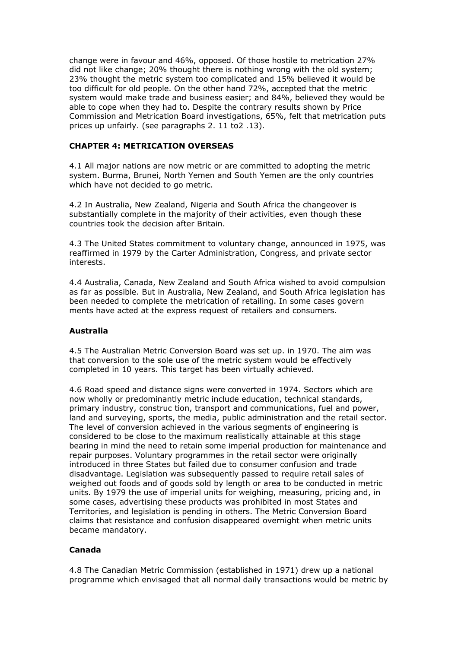change were in favour and 46%, opposed. Of those hostile to metrication 27% did not like change; 20% thought there is nothing wrong with the old system; 23% thought the metric system too complicated and 15% believed it would be too difficult for old people. On the other hand 72%, accepted that the metric system would make trade and business easier; and 84%, believed they would be able to cope when they had to. Despite the contrary results shown by Price Commission and Metrication Board investigations, 65%, felt that metrication puts prices up unfairly. (see paragraphs 2. 11 to2 .13).

#### **CHAPTER 4: METRICATION OVERSEAS**

4.1 All major nations are now metric or are committed to adopting the metric system. Burma, Brunei, North Yemen and South Yemen are the only countries which have not decided to go metric.

4.2 In Australia, New Zealand, Nigeria and South Africa the changeover is substantially complete in the majority of their activities, even though these countries took the decision after Britain.

4.3 The United States commitment to voluntary change, announced in 1975, was reaffirmed in 1979 by the Carter Administration, Congress, and private sector interests.

4.4 Australia, Canada, New Zealand and South Africa wished to avoid compulsion as far as possible. But in Australia, New Zealand, and South Africa legislation has been needed to complete the metrication of retailing. In some cases govern ments have acted at the express request of retailers and consumers.

#### **Australia**

4.5 The Australian Metric Conversion Board was set up. in 1970. The aim was that conversion to the sole use of the metric system would be effectively completed in 10 years. This target has been virtually achieved.

4.6 Road speed and distance signs were converted in 1974. Sectors which are now wholly or predominantly metric include education, technical standards, primary industry, construc tion, transport and communications, fuel and power, land and surveying, sports, the media, public administration and the retail sector. The level of conversion achieved in the various segments of engineering is considered to be close to the maximum realistically attainable at this stage bearing in mind the need to retain some imperial production for maintenance and repair purposes. Voluntary programmes in the retail sector were originally introduced in three States but failed due to consumer confusion and trade disadvantage. Legislation was subsequently passed to require retail sales of weighed out foods and of goods sold by length or area to be conducted in metric units. By 1979 the use of imperial units for weighing, measuring, pricing and, in some cases, advertising these products was prohibited in most States and Territories, and legislation is pending in others. The Metric Conversion Board claims that resistance and confusion disappeared overnight when metric units became mandatory.

#### **Canada**

4.8 The Canadian Metric Commission (established in 1971) drew up a national programme which envisaged that all normal daily transactions would be metric by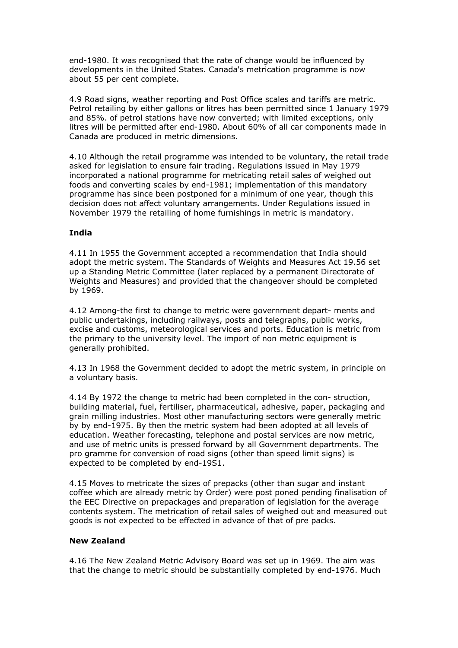end-1980. It was recognised that the rate of change would be influenced by developments in the United States. Canada's metrication programme is now about 55 per cent complete.

4.9 Road signs, weather reporting and Post Office scales and tariffs are metric. Petrol retailing by either gallons or litres has been permitted since 1 January 1979 and 85%. of petrol stations have now converted; with limited exceptions, only litres will be permitted after end-1980. About 60% of all car components made in Canada are produced in metric dimensions.

4.10 Although the retail programme was intended to be voluntary, the retail trade asked for legislation to ensure fair trading. Regulations issued in May 1979 incorporated a national programme for metricating retail sales of weighed out foods and converting scales by end-1981; implementation of this mandatory programme has since been postponed for a minimum of one year, though this decision does not affect voluntary arrangements. Under Regulations issued in November 1979 the retailing of home furnishings in metric is mandatory.

## **India**

4.11 In 1955 the Government accepted a recommendation that India should adopt the metric system. The Standards of Weights and Measures Act 19.56 set up a Standing Metric Committee (later replaced by a permanent Directorate of Weights and Measures) and provided that the changeover should be completed by 1969.

4.12 Among-the first to change to metric were government depart- ments and public undertakings, including railways, posts and telegraphs, public works, excise and customs, meteorological services and ports. Education is metric from the primary to the university level. The import of non metric equipment is generally prohibited.

4.13 In 1968 the Government decided to adopt the metric system, in principle on a voluntary basis.

4.14 By 1972 the change to metric had been completed in the con- struction, building material, fuel, fertiliser, pharmaceutical, adhesive, paper, packaging and grain milling industries. Most other manufacturing sectors were generally metric by by end-1975. By then the metric system had been adopted at all levels of education. Weather forecasting, telephone and postal services are now metric, and use of metric units is pressed forward by all Government departments. The pro gramme for conversion of road signs (other than speed limit signs) is expected to be completed by end-19S1.

4.15 Moves to metricate the sizes of prepacks (other than sugar and instant coffee which are already metric by Order) were post poned pending finalisation of the EEC Directive on prepackages and preparation of legislation for the average contents system. The metrication of retail sales of weighed out and measured out goods is not expected to be effected in advance of that of pre packs.

#### **New Zealand**

4.16 The New Zealand Metric Advisory Board was set up in 1969. The aim was that the change to metric should be substantially completed by end-1976. Much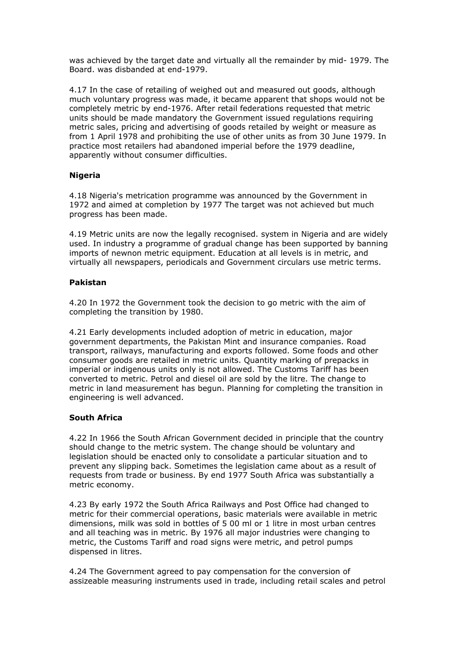was achieved by the target date and virtually all the remainder by mid- 1979. The Board. was disbanded at end-1979.

4.17 In the case of retailing of weighed out and measured out goods, although much voluntary progress was made, it became apparent that shops would not be completely metric by end-1976. After retail federations requested that metric units should be made mandatory the Government issued regulations requiring metric sales, pricing and advertising of goods retailed by weight or measure as from 1 April 1978 and prohibiting the use of other units as from 30 June 1979. In practice most retailers had abandoned imperial before the 1979 deadline, apparently without consumer difficulties.

## **Nigeria**

4.18 Nigeria's metrication programme was announced by the Government in 1972 and aimed at completion by 1977 The target was not achieved but much progress has been made.

4.19 Metric units are now the legally recognised. system in Nigeria and are widely used. In industry a programme of gradual change has been supported by banning imports of newnon metric equipment. Education at all levels is in metric, and virtually all newspapers, periodicals and Government circulars use metric terms.

#### **Pakistan**

4.20 In 1972 the Government took the decision to go metric with the aim of completing the transition by 1980.

4.21 Early developments included adoption of metric in education, major government departments, the Pakistan Mint and insurance companies. Road transport, railways, manufacturing and exports followed. Some foods and other consumer goods are retailed in metric units. Quantity marking of prepacks in imperial or indigenous units only is not allowed. The Customs Tariff has been converted to metric. Petrol and diesel oil are sold by the litre. The change to metric in land measurement has begun. Planning for completing the transition in engineering is well advanced.

#### **South Africa**

4.22 In 1966 the South African Government decided in principle that the country should change to the metric system. The change should be voluntary and legislation should be enacted only to consolidate a particular situation and to prevent any slipping back. Sometimes the legislation came about as a result of requests from trade or business. By end 1977 South Africa was substantially a metric economy.

4.23 By early 1972 the South Africa Railways and Post Office had changed to metric for their commercial operations, basic materials were available in metric dimensions, milk was sold in bottles of 5 00 ml or 1 litre in most urban centres and all teaching was in metric. By 1976 all major industries were changing to metric, the Customs Tariff and road signs were metric, and petrol pumps dispensed in litres.

4.24 The Government agreed to pay compensation for the conversion of assizeable measuring instruments used in trade, including retail scales and petrol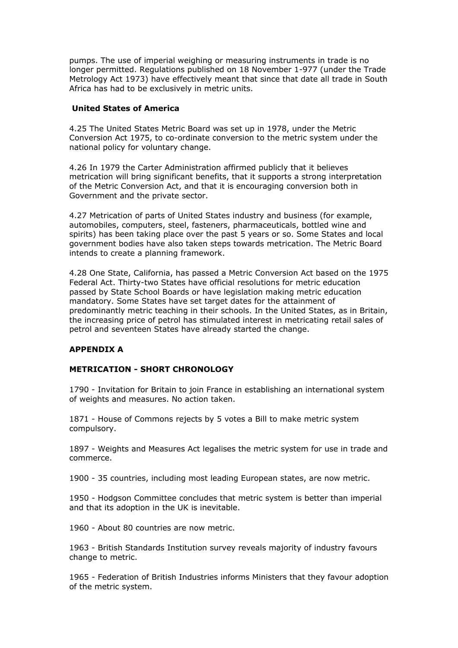pumps. The use of imperial weighing or measuring instruments in trade is no longer permitted. Regulations published on 18 November 1-977 (under the Trade Metrology Act 1973) have effectively meant that since that date all trade in South Africa has had to be exclusively in metric units.

#### **United States of America**

4.25 The United States Metric Board was set up in 1978, under the Metric Conversion Act 1975, to co-ordinate conversion to the metric system under the national policy for voluntary change.

4.26 In 1979 the Carter Administration affirmed publicly that it believes metrication will bring significant benefits, that it supports a strong interpretation of the Metric Conversion Act, and that it is encouraging conversion both in Government and the private sector.

4.27 Metrication of parts of United States industry and business (for example, automobiles, computers, steel, fasteners, pharmaceuticals, bottled wine and spirits) has been taking place over the past 5 years or so. Some States and local government bodies have also taken steps towards metrication. The Metric Board intends to create a planning framework.

4.28 One State, California, has passed a Metric Conversion Act based on the 1975 Federal Act. Thirty-two States have official resolutions for metric education passed by State School Boards or have legislation making metric education mandatory. Some States have set target dates for the attainment of predominantly metric teaching in their schools. In the United States, as in Britain, the increasing price of petrol has stimulated interest in metricating retail sales of petrol and seventeen States have already started the change.

## **APPENDIX A**

## **METRICATION - SHORT CHRONOLOGY**

1790 - Invitation for Britain to join France in establishing an international system of weights and measures. No action taken.

1871 - House of Commons rejects by 5 votes a Bill to make metric system compulsory.

1897 - Weights and Measures Act legalises the metric system for use in trade and commerce.

1900 - 35 countries, including most leading European states, are now metric.

1950 - Hodgson Committee concludes that metric system is better than imperial and that its adoption in the UK is inevitable.

1960 - About 80 countries are now metric.

1963 - British Standards Institution survey reveals majority of industry favours change to metric.

1965 - Federation of British Industries informs Ministers that they favour adoption of the metric system.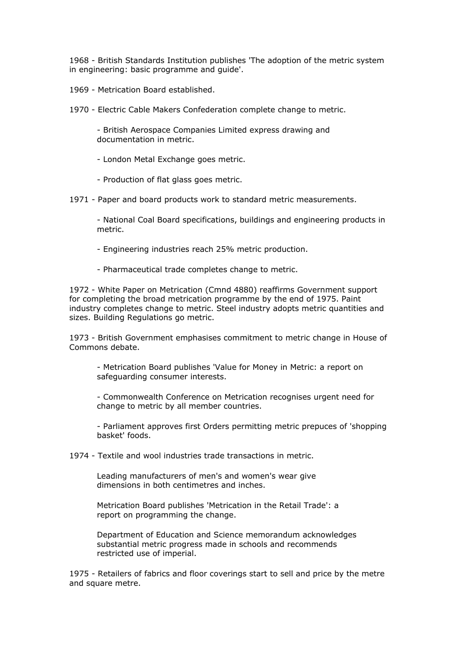1968 - British Standards Institution publishes 'The adoption of the metric system in engineering: basic programme and guide'.

1969 - Metrication Board established.

1970 - Electric Cable Makers Confederation complete change to metric.

- British Aerospace Companies Limited express drawing and documentation in metric.

- London Metal Exchange goes metric.

- Production of flat glass goes metric.

1971 - Paper and board products work to standard metric measurements.

- National Coal Board specifications, buildings and engineering products in metric.

- Engineering industries reach 25% metric production.

- Pharmaceutical trade completes change to metric.

1972 - White Paper on Metrication (Cmnd 4880) reaffirms Government support for completing the broad metrication programme by the end of 1975. Paint industry completes change to metric. Steel industry adopts metric quantities and sizes. Building Regulations go metric.

1973 - British Government emphasises commitment to metric change in House of Commons debate.

- Metrication Board publishes 'Value for Money in Metric: a report on safeguarding consumer interests.

- Commonwealth Conference on Metrication recognises urgent need for change to metric by all member countries.

- Parliament approves first Orders permitting metric prepuces of 'shopping basket' foods.

1974 - Textile and wool industries trade transactions in metric.

Leading manufacturers of men's and women's wear give dimensions in both centimetres and inches.

Metrication Board publishes 'Metrication in the Retail Trade': a report on programming the change.

Department of Education and Science memorandum acknowledges substantial metric progress made in schools and recommends restricted use of imperial.

1975 - Retailers of fabrics and floor coverings start to sell and price by the metre and square metre.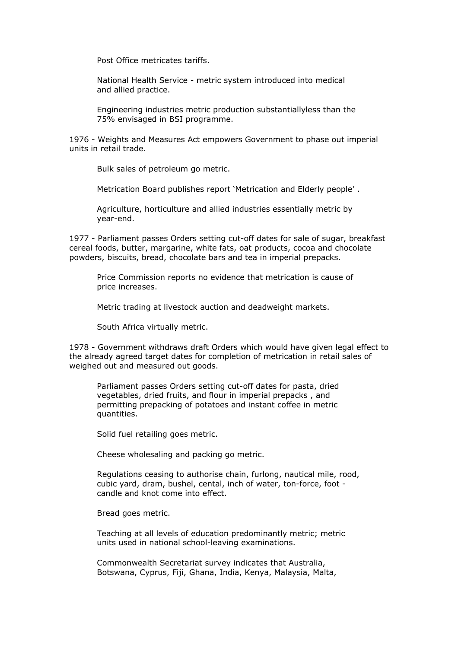Post Office metricates tariffs.

National Health Service - metric system introduced into medical and allied practice.

Engineering industries metric production substantiallyless than the 75% envisaged in BSI programme.

1976 - Weights and Measures Act empowers Government to phase out imperial units in retail trade.

Bulk sales of petroleum go metric.

Metrication Board publishes report 'Metrication and Elderly people' .

Agriculture, horticulture and allied industries essentially metric by year-end.

1977 - Parliament passes Orders setting cut-off dates for sale of sugar, breakfast cereal foods, butter, margarine, white fats, oat products, cocoa and chocolate powders, biscuits, bread, chocolate bars and tea in imperial prepacks.

Price Commission reports no evidence that metrication is cause of price increases.

Metric trading at livestock auction and deadweight markets.

South Africa virtually metric.

1978 - Government withdraws draft Orders which would have given legal effect to the already agreed target dates for completion of metrication in retail sales of weighed out and measured out goods.

Parliament passes Orders setting cut-off dates for pasta, dried vegetables, dried fruits, and flour in imperial prepacks , and permitting prepacking of potatoes and instant coffee in metric quantities.

Solid fuel retailing goes metric.

Cheese wholesaling and packing go metric.

Regulations ceasing to authorise chain, furlong, nautical mile, rood, cubic yard, dram, bushel, cental, inch of water, ton-force, foot candle and knot come into effect.

Bread goes metric.

Teaching at all levels of education predominantly metric; metric units used in national school-leaving examinations.

Commonwealth Secretariat survey indicates that Australia, Botswana, Cyprus, Fiji, Ghana, India, Kenya, Malaysia, Malta,